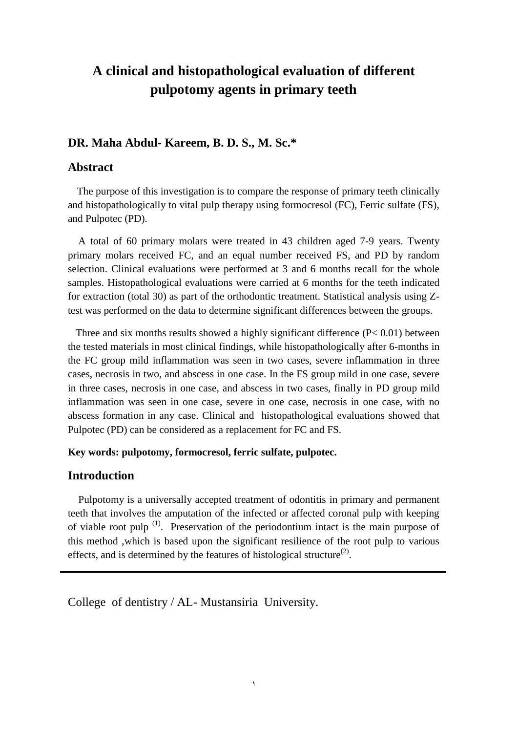## **A clinical and histopathological evaluation of different pulpotomy agents in primary teeth**

#### **DR. Maha Abdul- Kareem, B. D. S., M. Sc.\***

#### **Abstract**

 The purpose of this investigation is to compare the response of primary teeth clinically and histopathologically to vital pulp therapy using formocresol (FC), Ferric sulfate (FS), and Pulpotec (PD).

 A total of 60 primary molars were treated in 43 children aged 7-9 years. Twenty primary molars received FC, and an equal number received FS, and PD by random selection. Clinical evaluations were performed at 3 and 6 months recall for the whole samples. Histopathological evaluations were carried at 6 months for the teeth indicated for extraction (total 30) as part of the orthodontic treatment. Statistical analysis using Ztest was performed on the data to determine significant differences between the groups.

Three and six months results showed a highly significant difference  $(P< 0.01)$  between the tested materials in most clinical findings, while histopathologically after 6-months in the FC group mild inflammation was seen in two cases, severe inflammation in three cases, necrosis in two, and abscess in one case. In the FS group mild in one case, severe in three cases, necrosis in one case, and abscess in two cases, finally in PD group mild inflammation was seen in one case, severe in one case, necrosis in one case, with no abscess formation in any case. Clinical and histopathological evaluations showed that Pulpotec (PD) can be considered as a replacement for FC and FS.

#### **Key words: pulpotomy, formocresol, ferric sulfate, pulpotec.**

### **Introduction**

 Pulpotomy is a universally accepted treatment of odontitis in primary and permanent teeth that involves the amputation of the infected or affected coronal pulp with keeping of viable root pulp  $(1)$ . Preservation of the periodontium intact is the main purpose of this method ,which is based upon the significant resilience of the root pulp to various effects, and is determined by the features of histological structure<sup>(2)</sup>.

College of dentistry / AL- Mustansiria University.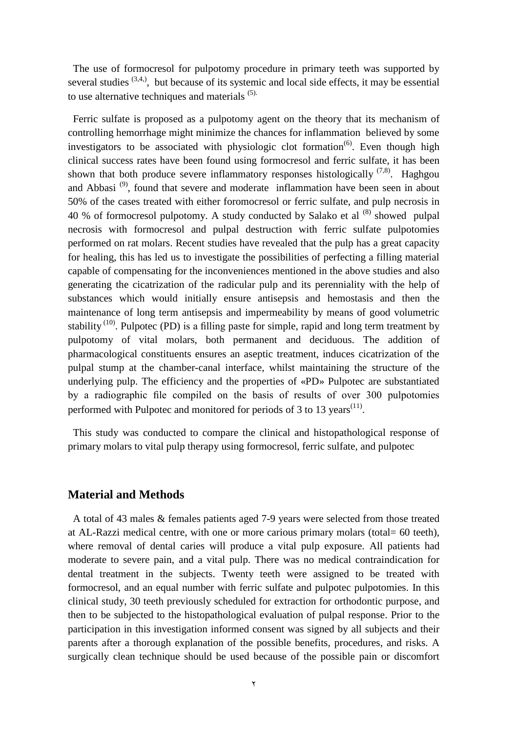The use of formocresol for pulpotomy procedure in primary teeth was supported by several studies  $(3,4)$ , but because of its systemic and local side effects, it may be essential to use alternative techniques and materials (5).

 Ferric sulfate is proposed as a pulpotomy agent on the theory that its mechanism of controlling hemorrhage might minimize the chances for inflammation believed by some investigators to be associated with physiologic clot formation<sup> $(6)$ </sup>. Even though high clinical success rates have been found using formocresol and ferric sulfate, it has been shown that both produce severe inflammatory responses histologically  $(7,8)$ . Haghgou and Abbasi<sup>(9)</sup>, found that severe and moderate inflammation have been seen in about 50% of the cases treated with either foromocresol or ferric sulfate, and pulp necrosis in 40 % of formocresol pulpotomy. A study conducted by Salako et al (8) showed pulpal necrosis with formocresol and pulpal destruction with ferric sulfate pulpotomies performed on rat molars. Recent studies have revealed that the pulp has a great capacity for healing, this has led us to investigate the possibilities of perfecting a filling material capable of compensating for the inconveniences mentioned in the above studies and also generating the cicatrization of the radicular pulp and its perenniality with the help of substances which would initially ensure antisepsis and hemostasis and then the maintenance of long term antisepsis and impermeability by means of good volumetric stability<sup>(10)</sup>. Pulpotec (PD) is a filling paste for simple, rapid and long term treatment by pulpotomy of vital molars, both permanent and deciduous. The addition of pharmacological constituents ensures an aseptic treatment, induces cicatrization of the pulpal stump at the chamber-canal interface, whilst maintaining the structure of the underlying pulp. The efficiency and the properties of «PD» Pulpotec are substantiated by a radiographic file compiled on the basis of results of over 300 pulpotomies performed with Pulpotec and monitored for periods of 3 to 13 years<sup> $(11)$ </sup>.

 This study was conducted to compare the clinical and histopathological response of primary molars to vital pulp therapy using formocresol, ferric sulfate, and pulpotec

#### **Material and Methods**

 A total of 43 males & females patients aged 7-9 years were selected from those treated at AL-Razzi medical centre, with one or more carious primary molars (total= 60 teeth), where removal of dental caries will produce a vital pulp exposure. All patients had moderate to severe pain, and a vital pulp. There was no medical contraindication for dental treatment in the subjects. Twenty teeth were assigned to be treated with formocresol, and an equal number with ferric sulfate and pulpotec pulpotomies. In this clinical study, 30 teeth previously scheduled for extraction for orthodontic purpose, and then to be subjected to the histopathological evaluation of pulpal response. Prior to the participation in this investigation informed consent was signed by all subjects and their parents after a thorough explanation of the possible benefits, procedures, and risks. A surgically clean technique should be used because of the possible pain or discomfort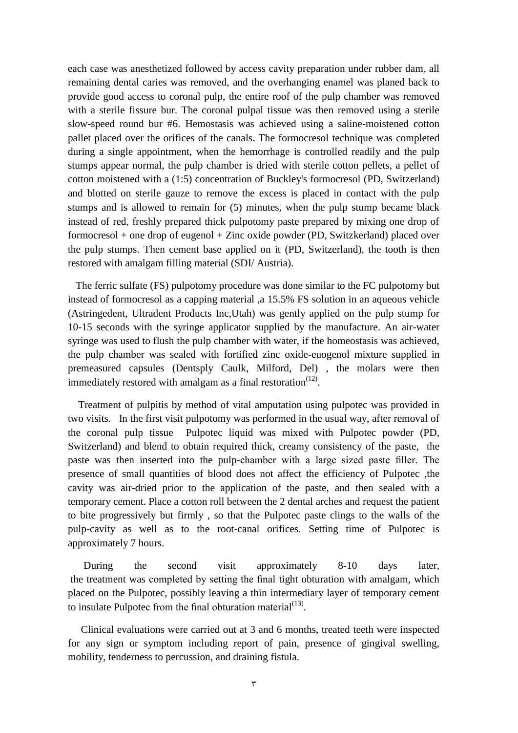each case was anesthetized followed by access cavity preparation under rubber dam, all remaining dental caries was removed, and the overhanging enamel was planed back to provide good access to coronal pulp, the entire roof of the pulp chamber was removed with a sterile fissure bur. The coronal pulpal tissue was then removed using a sterile slow-speed round bur #6. Hemostasis was achieved using a saline-moistened cotton pallet placed over the orifices of the canals. The formocresol technique was completed during a single appointment, when the hemorrhage is controlled readily and the pulp stumps appear normal, the pulp chamber is dried with sterile cotton pellets, a pellet of cotton moistened with a (1:5) concentration of Buckley's formocresol (PD, Switzerland) and blotted on sterile gauze to remove the excess is placed in contact with the pulp stumps and is allowed to remain for (5) minutes, when the pulp stump became black instead of red, freshly prepared thick pulpotomy paste prepared by mixing one drop of formocresol + one drop of eugenol + Zinc oxide powder (PD, Switzkerland) placed over the pulp stumps. Then cement base applied on it (PD, Switzerland), the tooth is then restored with amalgam filling material (SDI/ Austria).

 The ferric sulfate (FS) pulpotomy procedure was done similar to the FC pulpotomy but instead of formocresol as a capping material ,a 15.5% FS solution in an aqueous vehicle (Astringedent, Ultradent Products Inc,Utah) was gently applied on the pulp stump for 10-15 seconds with the syringe applicator supplied by the manufacture. An air-water syringe was used to flush the pulp chamber with water, if the homeostasis was achieved, the pulp chamber was sealed with fortified zinc oxide-euogenol mixture supplied in premeasured capsules (Dentsply Caulk, Milford, Del) , the molars were then immediately restored with amalgam as a final restoration $<sup>(12)</sup>$ .</sup>

 Treatment of pulpitis by method of vital amputation using pulpotec was provided in two visits. In the first visit pulpotomy was performed in the usual way, after removal of the coronal pulp tissue Pulpotec liquid was mixed with Pulpotec powder (PD, Switzerland) and blend to obtain required thick, creamy consistency of the paste, the paste was then inserted into the pulp-chamber with a large sized paste filler. The presence of small quantities of blood does not affect the efficiency of Pulpotec ,the cavity was air-dried prior to the application of the paste, and then sealed with a temporary cement. Place a cotton roll between the 2 dental arches and request the patient to bite progressively but firmly , so that the Pulpotec paste clings to the walls of the pulp-cavity as well as to the root-canal orifices. Setting time of Pulpotec is approximately 7 hours.

 During the second visit approximately 8-10 days later, the treatment was completed by setting the final tight obturation with amalgam, which placed on the Pulpotec, possibly leaving a thin intermediary layer of temporary cement to insulate Pulpotec from the final obturation material $(13)$ .

 Clinical evaluations were carried out at 3 and 6 months, treated teeth were inspected for any sign or symptom including report of pain, presence of gingival swelling, mobility, tenderness to percussion, and draining fistula.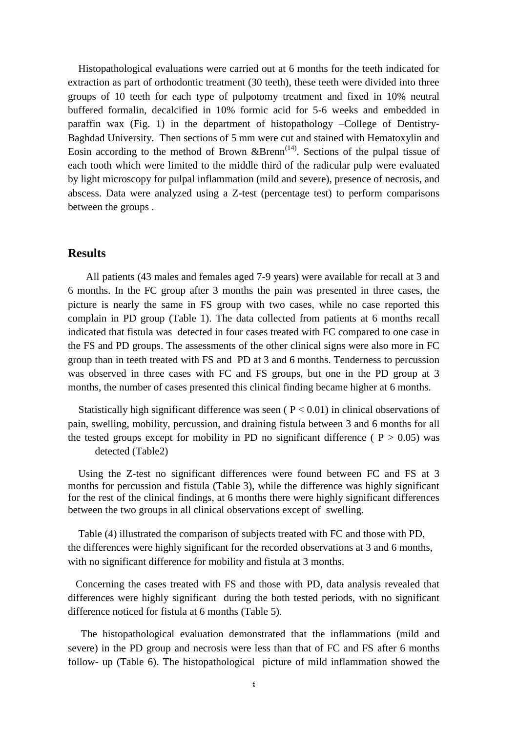Histopathological evaluations were carried out at 6 months for the teeth indicated for extraction as part of orthodontic treatment (30 teeth), these teeth were divided into three groups of 10 teeth for each type of pulpotomy treatment and fixed in 10% neutral buffered formalin, decalcified in 10% formic acid for 5-6 weeks and embedded in paraffin wax (Fig. 1) in the department of histopathology –College of Dentistry-Baghdad University. Then sections of 5 mm were cut and stained with Hematoxylin and Eosin according to the method of Brown  $\&$ Brenn<sup>(14)</sup>. Sections of the pulpal tissue of each tooth which were limited to the middle third of the radicular pulp were evaluated by light microscopy for pulpal inflammation (mild and severe), presence of necrosis, and abscess. Data were analyzed using a Z-test (percentage test) to perform comparisons between the groups .

#### **Results**

 All patients (43 males and females aged 7-9 years) were available for recall at 3 and 6 months. In the FC group after 3 months the pain was presented in three cases, the picture is nearly the same in FS group with two cases, while no case reported this complain in PD group (Table 1). The data collected from patients at 6 months recall indicated that fistula was detected in four cases treated with FC compared to one case in the FS and PD groups. The assessments of the other clinical signs were also more in FC group than in teeth treated with FS and PD at 3 and 6 months. Tenderness to percussion was observed in three cases with FC and FS groups, but one in the PD group at 3 months, the number of cases presented this clinical finding became higher at 6 months.

Statistically high significant difference was seen  $(P < 0.01)$  in clinical observations of pain, swelling, mobility, percussion, and draining fistula between 3 and 6 months for all the tested groups except for mobility in PD no significant difference ( $P > 0.05$ ) was detected (Table2)

 Using the Z-test no significant differences were found between FC and FS at 3 months for percussion and fistula (Table 3), while the difference was highly significant for the rest of the clinical findings, at 6 months there were highly significant differences between the two groups in all clinical observations except of swelling.

 Table (4) illustrated the comparison of subjects treated with FC and those with PD, the differences were highly significant for the recorded observations at 3 and 6 months, with no significant difference for mobility and fistula at 3 months.

 Concerning the cases treated with FS and those with PD, data analysis revealed that differences were highly significant during the both tested periods, with no significant difference noticed for fistula at 6 months (Table 5).

 The histopathological evaluation demonstrated that the inflammations (mild and severe) in the PD group and necrosis were less than that of FC and FS after 6 months follow- up (Table 6). The histopathological picture of mild inflammation showed the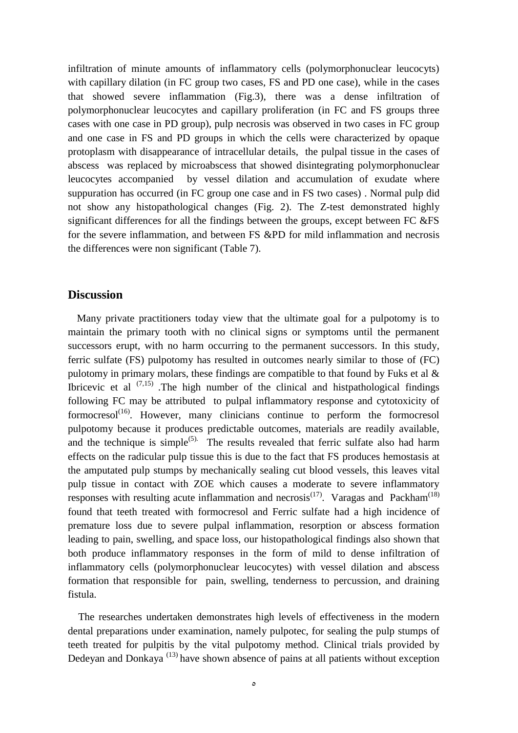infiltration of minute amounts of inflammatory cells (polymorphonuclear leucocyts) with capillary dilation (in FC group two cases, FS and PD one case), while in the cases that showed severe inflammation (Fig.3), there was a dense infiltration of polymorphonuclear leucocytes and capillary proliferation (in FC and FS groups three cases with one case in PD group), pulp necrosis was observed in two cases in FC group and one case in FS and PD groups in which the cells were characterized by opaque protoplasm with disappearance of intracellular details, the pulpal tissue in the cases of abscess was replaced by microabscess that showed disintegrating polymorphonuclear leucocytes accompanied by vessel dilation and accumulation of exudate where suppuration has occurred (in FC group one case and in FS two cases) . Normal pulp did not show any histopathological changes (Fig. 2). The Z-test demonstrated highly significant differences for all the findings between the groups, except between FC &FS for the severe inflammation, and between FS &PD for mild inflammation and necrosis the differences were non significant (Table 7).

#### **Discussion**

 Many private practitioners today view that the ultimate goal for a pulpotomy is to maintain the primary tooth with no clinical signs or symptoms until the permanent successors erupt, with no harm occurring to the permanent successors. In this study, ferric sulfate (FS) pulpotomy has resulted in outcomes nearly similar to those of (FC) pulotomy in primary molars, these findings are compatible to that found by Fuks et al & Ibricevic et al  $(7.15)$ . The high number of the clinical and histpathological findings following FC may be attributed to pulpal inflammatory response and cytotoxicity of formocresol<sup>(16)</sup>. However, many clinicians continue to perform the formocresol pulpotomy because it produces predictable outcomes, materials are readily available, and the technique is simple<sup>(5).</sup> The results revealed that ferric sulfate also had harm effects on the radicular pulp tissue this is due to the fact that FS produces hemostasis at the amputated pulp stumps by mechanically sealing cut blood vessels, this leaves vital pulp tissue in contact with ZOE which causes a moderate to severe inflammatory responses with resulting acute inflammation and necrosis<sup>(17)</sup>. Varagas and Packham<sup>(18)</sup> found that teeth treated with formocresol and Ferric sulfate had a high incidence of premature loss due to severe pulpal inflammation, resorption or abscess formation leading to pain, swelling, and space loss, our histopathological findings also shown that both produce inflammatory responses in the form of mild to dense infiltration of inflammatory cells (polymorphonuclear leucocytes) with vessel dilation and abscess formation that responsible for pain, swelling, tenderness to percussion, and draining fistula.

 The researches undertaken demonstrates high levels of effectiveness in the modern dental preparations under examination, namely pulpotec, for sealing the pulp stumps of teeth treated for pulpitis by the vital pulpotomy method. Clinical trials provided by Dedeyan and Donkaya<sup>(13)</sup> have shown absence of pains at all patients without exception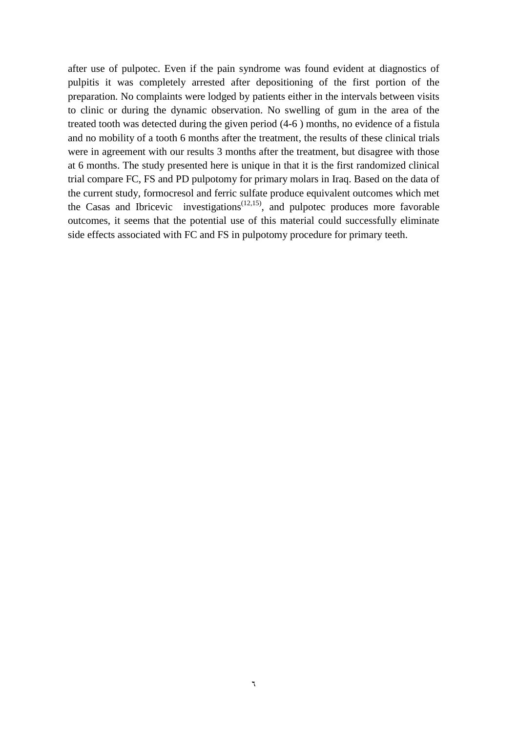after use of pulpotec. Even if the pain syndrome was found evident at diagnostics of pulpitis it was completely arrested after depositioning of the first portion of the preparation. No complaints were lodged by patients either in the intervals between visits to clinic or during the dynamic observation. No swelling of gum in the area of the treated tooth was detected during the given period (4-6 ) months, no evidence of a fistula and no mobility of a tooth 6 months after the treatment, the results of these clinical trials were in agreement with our results 3 months after the treatment, but disagree with those at 6 months. The study presented here is unique in that it is the first randomized clinical trial compare FC, FS and PD pulpotomy for primary molars in Iraq. Based on the data of the current study, formocresol and ferric sulfate produce equivalent outcomes which met the Casas and Ibricevic investigations<sup> $(12,15)$ </sup>, and pulpotec produces more favorable outcomes, it seems that the potential use of this material could successfully eliminate side effects associated with FC and FS in pulpotomy procedure for primary teeth.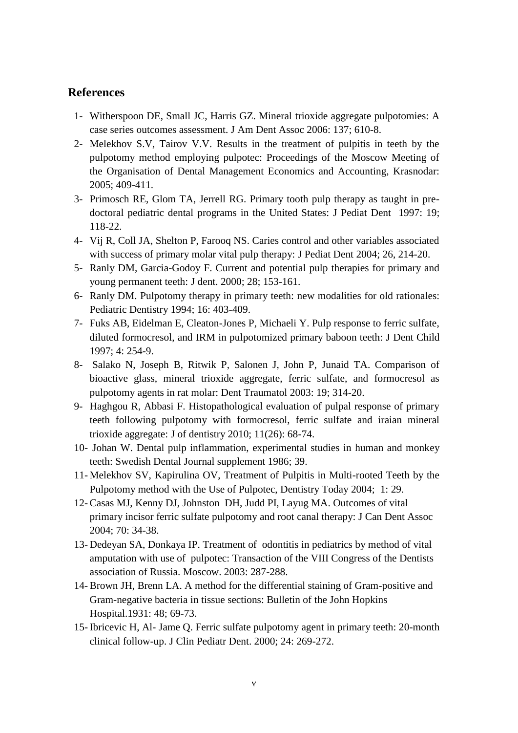#### **References**

- 1- Witherspoon DE, Small JC, Harris GZ. Mineral trioxide aggregate pulpotomies: A case series outcomes assessment. J Am Dent Assoc 2006: 137; 610-8.
- 2- Melekhov S.V, Tairov V.V. Results in the treatment of pulpitis in teeth by the pulpotomy method employing pulpotec: Proceedings of the Moscow Meeting of the Organisation of Dental Management Economics and Accounting, Krasnodar: 2005; 409-411.
- 3- Primosch RE, Glom TA, Jerrell RG. Primary tooth pulp therapy as taught in predoctoral pediatric dental programs in the United States: J Pediat Dent 1997: 19; 118-22.
- 4- Vij R, Coll JA, Shelton P, Farooq NS. Caries control and other variables associated with success of primary molar vital pulp therapy: J Pediat Dent 2004; 26, 214-20.
- 5- Ranly DM, Garcia-Godoy F. Current and potential pulp therapies for primary and young permanent teeth: J dent. 2000; 28; 153-161.
- 6- Ranly DM. Pulpotomy therapy in primary teeth: new modalities for old rationales: Pediatric Dentistry 1994; 16: 403-409.
- 7- Fuks AB, Eidelman E, Cleaton-Jones P, Michaeli Y. Pulp response to ferric sulfate, diluted formocresol, and IRM in pulpotomized primary baboon teeth: J Dent Child 1997; 4: 254-9.
- 8- Salako N, Joseph B, Ritwik P, Salonen J, John P, Junaid TA. Comparison of bioactive glass, mineral trioxide aggregate, ferric sulfate, and formocresol as pulpotomy agents in rat molar: Dent Traumatol 2003: 19; 314-20.
- 9- Haghgou R, Abbasi F. Histopathological evaluation of pulpal response of primary teeth following pulpotomy with formocresol, ferric sulfate and iraian mineral trioxide aggregate: J of dentistry 2010; 11(26): 68-74.
- 10- Johan W. Dental pulp inflammation, experimental studies in human and monkey teeth: Swedish Dental Journal supplement 1986; 39.
- 11- Melekhov SV, Kapirulina OV, Treatment of Pulpitis in Multi-rooted Teeth by the Pulpotomy method with the Use of Pulpotec, Dentistry Today 2004; 1: 29.
- 12-Casas MJ, Kenny DJ, Johnston DH, Judd PI, Layug MA. Outcomes of vital primary incisor ferric sulfate pulpotomy and root canal therapy: J Can Dent Assoc 2004; 70: 34-38.
- 13- Dedeyan SA, Donkaya IP. Treatment of odontitis in pediatrics by method of vital amputation with use of pulpotec: Transaction of the VIII Congress of the Dentists association of Russia. Moscow. 2003: 287-288.
- 14-Brown JH, Brenn LA. A method for the differential staining of Gram-positive and Gram-negative bacteria in tissue sections: Bulletin of the John Hopkins Hospital.1931: 48; 69-73.
- 15- Ibricevic H, Al- Jame Q. Ferric sulfate pulpotomy agent in primary teeth: 20-month clinical follow-up. J Clin Pediatr Dent. 2000; 24: 269-272.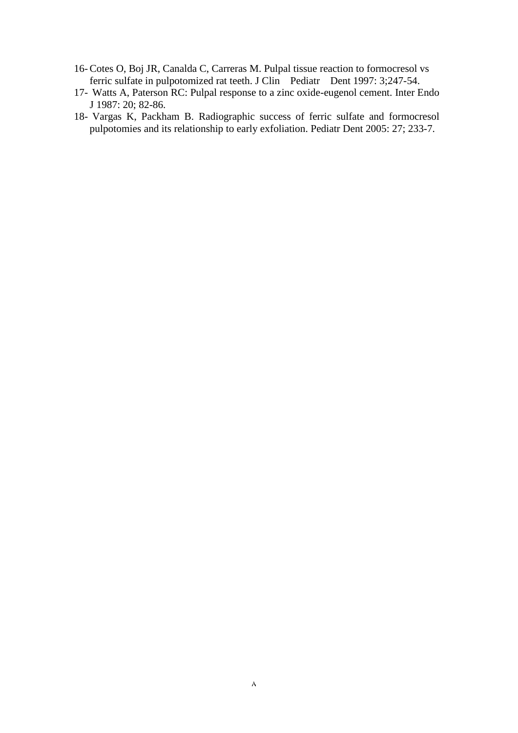- 16-Cotes O, Boj JR, Canalda C, Carreras M. Pulpal tissue reaction to formocresol vs ferric sulfate in pulpotomized rat teeth. J Clin Pediatr Dent 1997: 3;247-54.
- 17- Watts A, Paterson RC: Pulpal response to a zinc oxide-eugenol cement. Inter Endo J 1987: 20; 82-86.
- 18- Vargas K, Packham B. Radiographic success of ferric sulfate and formocresol pulpotomies and its relationship to early exfoliation. Pediatr Dent 2005: 27; 233-7.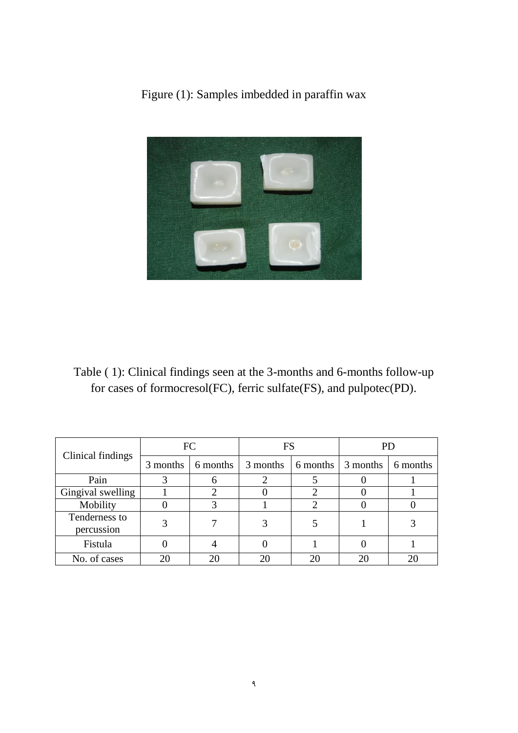

Figure (1): Samples imbedded in paraffin wax

Table ( 1): Clinical findings seen at the 3-months and 6-months follow-up for cases of formocresol(FC), ferric sulfate(FS), and pulpotec(PD).

| Clinical findings           | FC       |          | FS       |          | PЕ       |          |
|-----------------------------|----------|----------|----------|----------|----------|----------|
|                             | 3 months | 6 months | 3 months | 6 months | 3 months | 6 months |
| Pain                        |          |          |          |          |          |          |
| Gingival swelling           |          |          |          |          |          |          |
| Mobility                    |          |          |          |          |          |          |
| Tenderness to<br>percussion |          |          |          |          |          |          |
| Fistula                     |          |          |          |          |          |          |
| No. of cases                |          |          |          | 20       | 2(       |          |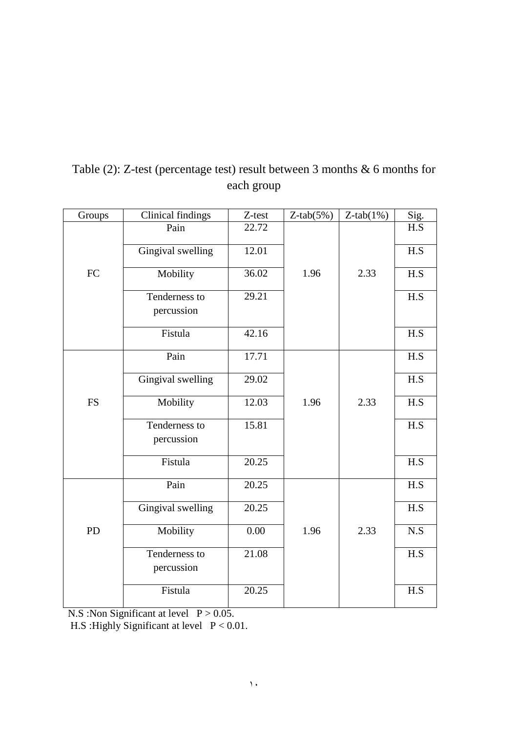| Groups     | <b>Clinical findings</b>    | Z-test             | $Z$ -tab $(5%)$ | $Z$ -tab $(1%)$ | Sig. |
|------------|-----------------------------|--------------------|-----------------|-----------------|------|
|            | Pain                        | 22.72              |                 |                 | H.S  |
|            | Gingival swelling           | 12.01              |                 |                 | H.S  |
| ${\rm FC}$ | Mobility                    | 36.02              | 1.96            | 2.33            | H.S  |
|            | Tenderness to<br>percussion | $\overline{29.21}$ |                 |                 | H.S  |
|            | Fistula                     | 42.16              |                 |                 | H.S  |
|            | Pain                        | 17.71              |                 |                 | H.S  |
|            | Gingival swelling           | 29.02              |                 |                 | H.S  |
| <b>FS</b>  | Mobility                    | 12.03              | 1.96            | 2.33            | H.S  |
|            | Tenderness to<br>percussion | 15.81              |                 |                 | H.S  |
|            | Fistula                     | 20.25              |                 |                 | H.S  |
|            | Pain                        | 20.25              |                 |                 | H.S  |
|            | Gingival swelling           | 20.25              |                 |                 | H.S  |
| PD         | Mobility                    | 0.00               | 1.96            | 2.33            | N.S  |
|            | Tenderness to<br>percussion | 21.08              |                 |                 | H.S  |
|            | Fistula                     | 20.25              |                 |                 | H.S  |

## Table (2): Z-test (percentage test) result between 3 months & 6 months for each group

N.S : Non Significant at level  $P > 0.05$ .

H.S : Highly Significant at level  $P < 0.01$ .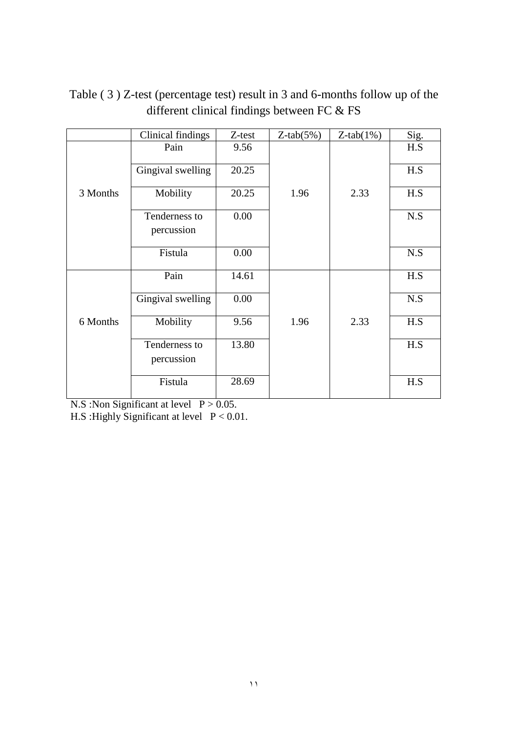|          | <b>Clinical findings</b> | Z-test | $Z$ -tab $(5%)$ | $Z$ -tab $(1%)$ | Sig.                    |
|----------|--------------------------|--------|-----------------|-----------------|-------------------------|
|          | Pain                     | 9.56   |                 |                 | H.S                     |
|          | Gingival swelling        | 20.25  |                 |                 | H.S                     |
| 3 Months | Mobility                 | 20.25  | 1.96            | 2.33            | H.S                     |
|          | Tenderness to            | 0.00   |                 |                 | $\mathbf{N}.\mathbf{S}$ |
|          | percussion               |        |                 |                 |                         |
|          | Fistula                  | 0.00   |                 |                 | N.S                     |
|          | Pain                     | 14.61  |                 |                 | H.S                     |
|          | Gingival swelling        | 0.00   |                 |                 | N.S                     |
| 6 Months | Mobility                 | 9.56   | 1.96            | 2.33            | H.S                     |
|          | Tenderness to            | 13.80  |                 |                 | H.S                     |
|          | percussion               |        |                 |                 |                         |
|          | Fistula                  | 28.69  |                 |                 | H.S                     |

Table ( 3 ) Z-test (percentage test) result in 3 and 6-months follow up of the different clinical findings between FC & FS

N.S :Non Significant at level  $P > 0.05$ .

H.S : Highly Significant at level  $P < 0.01$ .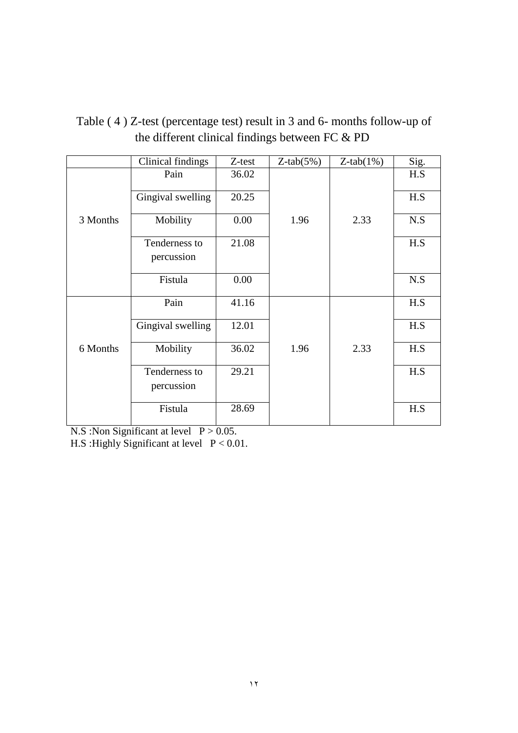|          | Clinical findings | Z-test | $Z$ -tab $(5%)$ | $Z$ -tab $(1%)$ | Sig. |
|----------|-------------------|--------|-----------------|-----------------|------|
|          |                   |        |                 |                 |      |
|          | Pain              | 36.02  |                 |                 | H.S  |
|          |                   |        |                 |                 |      |
|          | Gingival swelling | 20.25  |                 |                 | H.S  |
|          |                   |        |                 |                 |      |
| 3 Months | Mobility          | 0.00   | 1.96            | 2.33            | N.S  |
|          |                   |        |                 |                 |      |
|          | Tenderness to     | 21.08  |                 |                 | H.S  |
|          |                   |        |                 |                 |      |
|          | percussion        |        |                 |                 |      |
|          |                   |        |                 |                 |      |
|          | Fistula           | 0.00   |                 |                 | N.S  |
|          |                   |        |                 |                 |      |
|          | Pain              | 41.16  |                 |                 | H.S  |
|          |                   |        |                 |                 |      |
|          | Gingival swelling | 12.01  |                 |                 | H.S  |
|          |                   |        |                 |                 |      |
| 6 Months |                   | 36.02  | 1.96            | 2.33            | H.S  |
|          | Mobility          |        |                 |                 |      |
|          |                   |        |                 |                 |      |
|          | Tenderness to     | 29.21  |                 |                 | H.S  |
|          | percussion        |        |                 |                 |      |
|          |                   |        |                 |                 |      |
|          | Fistula           | 28.69  |                 |                 | H.S  |
|          |                   |        |                 |                 |      |
|          |                   |        |                 |                 |      |

Table ( 4 ) Z-test (percentage test) result in 3 and 6- months follow-up of the different clinical findings between FC & PD

N.S : Non Significant at level  $P > 0.05$ .

H.S :Highly Significant at level P < 0.01.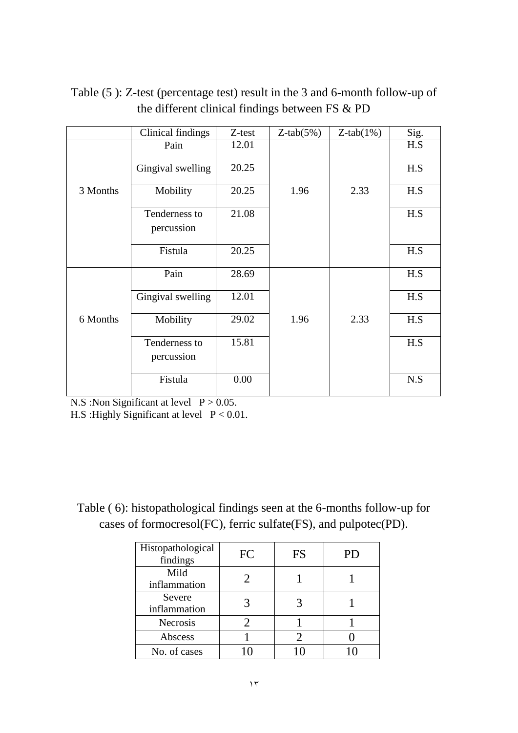|          | Clinical findings | Z-test | $Z$ -tab $(5%)$ | $Z$ -tab $(1%)$ | Sig. |
|----------|-------------------|--------|-----------------|-----------------|------|
|          | Pain              | 12.01  |                 |                 | H.S  |
|          | Gingival swelling | 20.25  |                 |                 | H.S  |
| 3 Months | Mobility          | 20.25  | 1.96            | 2.33            | H.S  |
|          | Tenderness to     | 21.08  |                 |                 | H.S  |
|          | percussion        |        |                 |                 |      |
|          | Fistula           | 20.25  |                 |                 | H.S  |
|          | Pain              | 28.69  |                 |                 | H.S  |
|          | Gingival swelling | 12.01  |                 |                 | H.S  |
| 6 Months | Mobility          | 29.02  | 1.96            | 2.33            | H.S  |
|          | Tenderness to     | 15.81  |                 |                 | H.S  |
|          | percussion        |        |                 |                 |      |
|          | Fistula           | 0.00   |                 |                 | N.S  |

Table (5 ): Z-test (percentage test) result in the 3 and 6-month follow-up of the different clinical findings between FS & PD

N.S : Non Significant at level  $P > 0.05$ .

H.S :Highly Significant at level P < 0.01.

Table ( 6): histopathological findings seen at the 6-months follow-up for cases of formocresol(FC), ferric sulfate(FS), and pulpotec(PD).

| Histopathological<br>findings | FC | FS | PD |
|-------------------------------|----|----|----|
| Mild<br>inflammation          |    |    |    |
| Severe<br>inflammation        |    |    |    |
| <b>Necrosis</b>               |    |    |    |
| Abscess                       |    |    |    |
| No. of cases                  |    |    |    |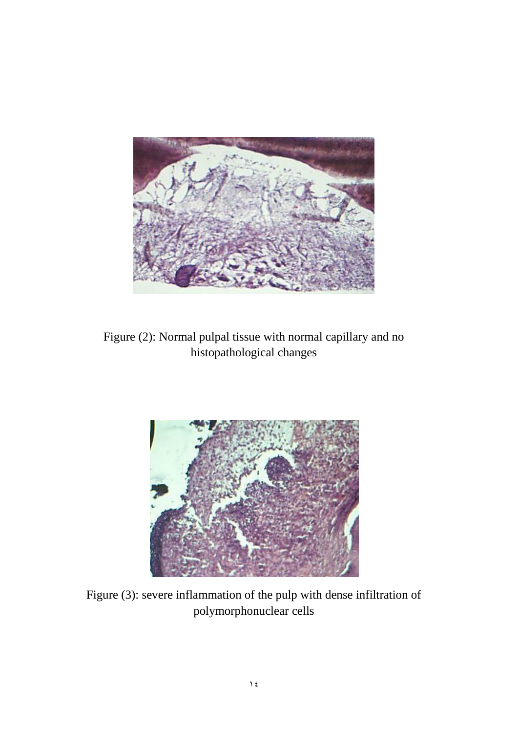

Figure (2): Normal pulpal tissue with normal capillary and no histopathological changes



Figure (3): severe inflammation of the pulp with dense infiltration of polymorphonuclear cells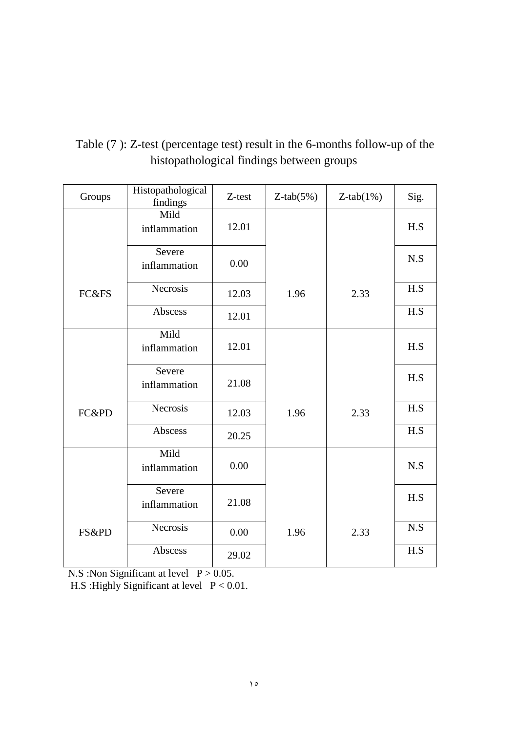| Groups | Histopathological<br>findings | Z-test | $Z$ -tab $(5%)$ | $Z$ -tab $(1%)$ | Sig. |
|--------|-------------------------------|--------|-----------------|-----------------|------|
|        | Mild<br>inflammation          | 12.01  |                 |                 | H.S  |
|        | Severe<br>inflammation        | 0.00   |                 |                 | N.S  |
| FC&FS  | Necrosis                      | 12.03  | 1.96            | 2.33            | H.S  |
|        | Abscess                       | 12.01  |                 |                 | H.S  |
|        | Mild<br>inflammation          | 12.01  |                 |                 | H.S  |
|        | Severe<br>inflammation        | 21.08  |                 |                 | H.S  |
| FC&PD  | Necrosis                      | 12.03  | 1.96            | 2.33            | H.S  |
|        | Abscess                       | 20.25  |                 |                 | H.S  |
|        | Mild<br>inflammation          | 0.00   |                 |                 | N.S  |
|        | Severe<br>inflammation        | 21.08  |                 |                 | H.S  |
| FS&PD  | Necrosis                      | 0.00   | 1.96            | 2.33            | N.S  |
|        | Abscess                       | 29.02  |                 |                 | H.S  |

## Table (7 ): Z-test (percentage test) result in the 6-months follow-up of the histopathological findings between groups

N.S : Non Significant at level  $P > 0.05$ .

H.S : Highly Significant at level  $P < 0.01$ .